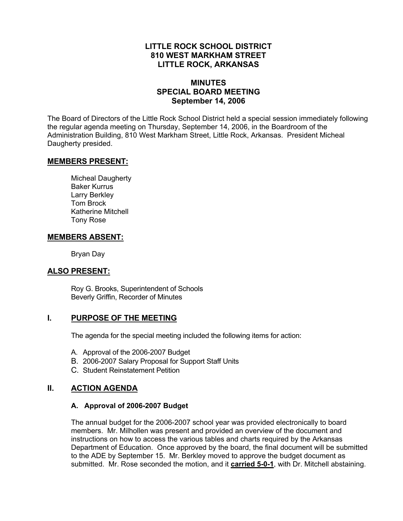### **LITTLE ROCK SCHOOL DISTRICT 810 WEST MARKHAM STREET LITTLE ROCK, ARKANSAS**

# **MINUTES SPECIAL BOARD MEETING September 14, 2006**

The Board of Directors of the Little Rock School District held a special session immediately following the regular agenda meeting on Thursday, September 14, 2006, in the Boardroom of the Administration Building, 810 West Markham Street, Little Rock, Arkansas. President Micheal Daugherty presided.

#### **MEMBERS PRESENT:**

Micheal Daugherty Baker Kurrus Larry Berkley Tom Brock Katherine Mitchell Tony Rose

#### **MEMBERS ABSENT:**

Bryan Day

# **ALSO PRESENT:**

Roy G. Brooks, Superintendent of Schools Beverly Griffin, Recorder of Minutes

# **I. PURPOSE OF THE MEETING**

The agenda for the special meeting included the following items for action:

- A. Approval of the 2006-2007 Budget
- B. 2006-2007 Salary Proposal for Support Staff Units
- C. Student Reinstatement Petition

# **II. ACTION AGENDA**

#### **A. Approval of 2006-2007 Budget**

The annual budget for the 2006-2007 school year was provided electronically to board members. Mr. Milhollen was present and provided an overview of the document and instructions on how to access the various tables and charts required by the Arkansas Department of Education. Once approved by the board, the final document will be submitted to the ADE by September 15. Mr. Berkley moved to approve the budget document as submitted. Mr. Rose seconded the motion, and it **carried 5-0-1**, with Dr. Mitchell abstaining.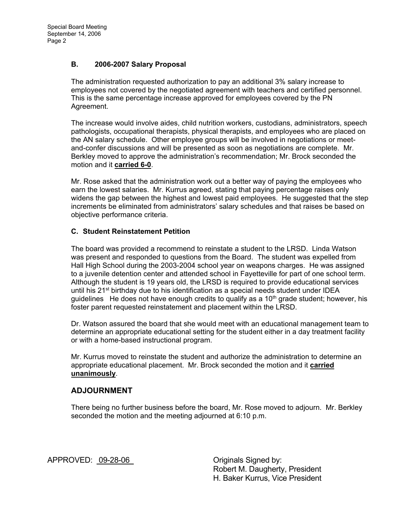#### **B. 2006-2007 Salary Proposal**

The administration requested authorization to pay an additional 3% salary increase to employees not covered by the negotiated agreement with teachers and certified personnel. This is the same percentage increase approved for employees covered by the PN Agreement.

The increase would involve aides, child nutrition workers, custodians, administrators, speech pathologists, occupational therapists, physical therapists, and employees who are placed on the AN salary schedule. Other employee groups will be involved in negotiations or meetand-confer discussions and will be presented as soon as negotiations are complete. Mr. Berkley moved to approve the administration's recommendation; Mr. Brock seconded the motion and it **carried 6-0**.

Mr. Rose asked that the administration work out a better way of paying the employees who earn the lowest salaries. Mr. Kurrus agreed, stating that paying percentage raises only widens the gap between the highest and lowest paid employees. He suggested that the step increments be eliminated from administrators' salary schedules and that raises be based on objective performance criteria.

#### **C. Student Reinstatement Petition**

The board was provided a recommend to reinstate a student to the LRSD. Linda Watson was present and responded to questions from the Board. The student was expelled from Hall High School during the 2003-2004 school year on weapons charges. He was assigned to a juvenile detention center and attended school in Fayetteville for part of one school term. Although the student is 19 years old, the LRSD is required to provide educational services until his  $21^{st}$  birthday due to his identification as a special needs student under IDEA quidelines He does not have enough credits to qualify as a  $10<sup>th</sup>$  grade student; however, his foster parent requested reinstatement and placement within the LRSD.

Dr. Watson assured the board that she would meet with an educational management team to determine an appropriate educational setting for the student either in a day treatment facility or with a home-based instructional program.

Mr. Kurrus moved to reinstate the student and authorize the administration to determine an appropriate educational placement. Mr. Brock seconded the motion and it **carried unanimously**.

# **ADJOURNMENT**

There being no further business before the board, Mr. Rose moved to adjourn. Mr. Berkley seconded the motion and the meeting adjourned at 6:10 p.m.

APPROVED: 09-28-06 Criginals Signed by:

 Robert M. Daugherty, President H. Baker Kurrus, Vice President